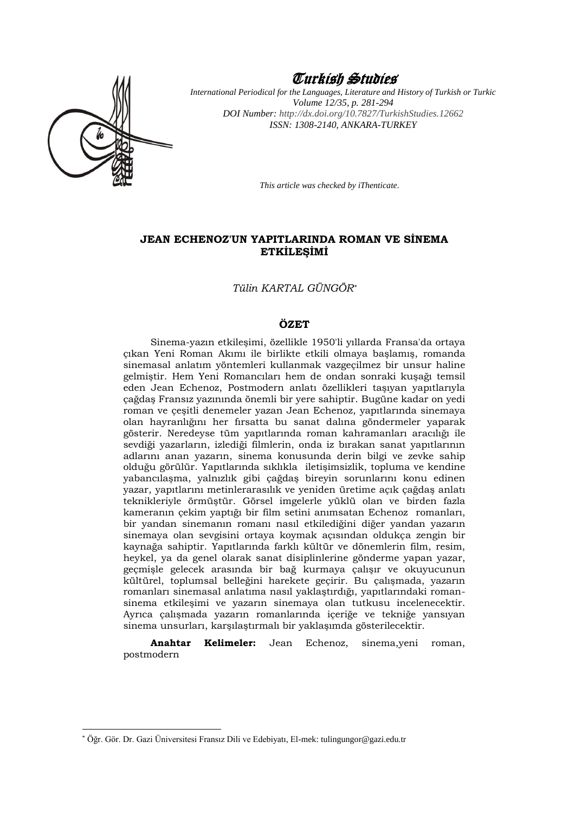

1

# Turkish Studies

*International Periodical for the Languages, Literature and History of Turkish or Turkic Volume 12/35, p. 281-294 DOI Number: [http://dx.doi.org/10.7827/TurkishStudies.1](http://dx.doi.org/10.7827/TurkishStudies.)2662 ISSN: 1308-2140, ANKARA-TURKEY*

*This article was checked by iThenticate.*

### **JEAN ECHENOZ'UN YAPITLARINDA ROMAN VE SİNEMA ETKİLEŞİMİ**

*Tülin KARTAL GÜNGÖR\**

### **ÖZET**

Sinema-yazın etkileşimi, özellikle 1950'li yıllarda Fransa'da ortaya çıkan Yeni Roman Akımı ile birlikte etkili olmaya başlamış, romanda sinemasal anlatım yöntemleri kullanmak vazgeçilmez bir unsur haline gelmiştir. Hem Yeni Romancıları hem de ondan sonraki kuşağı temsil eden Jean Echenoz, Postmodern anlatı özellikleri taşıyan yapıtlarıyla çağdaş Fransız yazınında önemli bir yere sahiptir. Bugüne kadar on yedi roman ve çeşitli denemeler yazan Jean Echenoz, yapıtlarında sinemaya olan hayranlığını her fırsatta bu sanat dalına göndermeler yaparak gösterir. Neredeyse tüm yapıtlarında roman kahramanları aracılığı ile sevdiği yazarların, izlediği filmlerin, onda iz bırakan sanat yapıtlarının adlarını anan yazarın, sinema konusunda derin bilgi ve zevke sahip olduğu görülür. Yapıtlarında sıklıkla iletişimsizlik, topluma ve kendine yabancılaşma, yalnızlık gibi çağdaş bireyin sorunlarını konu edinen yazar, yapıtlarını metinlerarasılık ve yeniden üretime açık çağdaş anlatı teknikleriyle örmüştür. Görsel imgelerle yüklü olan ve birden fazla kameranın çekim yaptığı bir film setini anımsatan Echenoz romanları, bir yandan sinemanın romanı nasıl etkilediğini diğer yandan yazarın sinemaya olan sevgisini ortaya koymak açısından oldukça zengin bir kaynağa sahiptir. Yapıtlarında farklı kültür ve dönemlerin film, resim, heykel, ya da genel olarak sanat disiplinlerine gönderme yapan yazar, geçmişle gelecek arasında bir bağ kurmaya çalışır ve okuyucunun kültürel, toplumsal belleğini harekete geçirir. Bu çalışmada, yazarın romanları sinemasal anlatıma nasıl yaklaştırdığı, yapıtlarındaki romansinema etkileşimi ve yazarın sinemaya olan tutkusu incelenecektir. Ayrıca çalışmada yazarın romanlarında içeriğe ve tekniğe yansıyan sinema unsurları, karşılaştırmalı bir yaklaşımda gösterilecektir.

**Anahtar Kelimeler:** Jean Echenoz, sinema,yeni roman, postmodern

<sup>\*</sup> Öğr. Gör. Dr. Gazi Üniversitesi Fransız Dili ve Edebiyatı, El-mek: tulingungor@gazi.edu.tr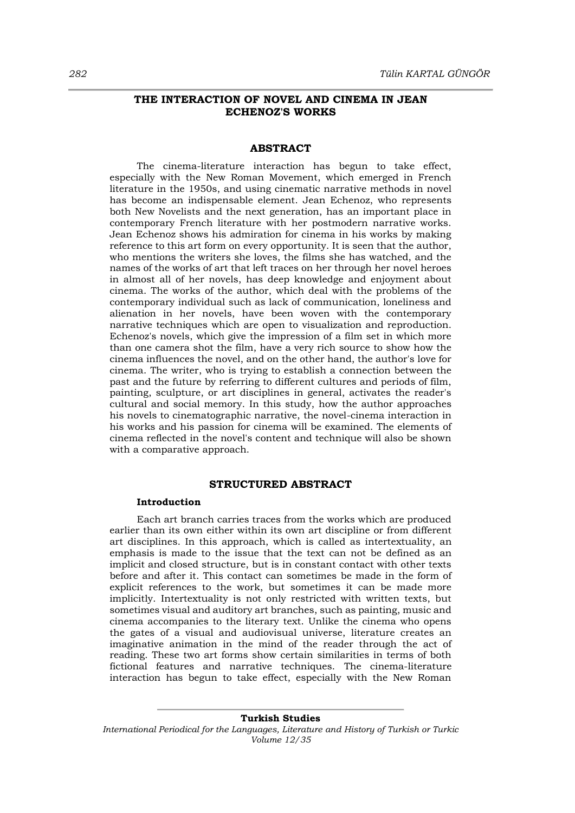### **THE INTERACTION OF NOVEL AND CINEMA IN JEAN ECHENOZ'S WORKS**

## **ABSTRACT**

The cinema-literature interaction has begun to take effect, especially with the New Roman Movement, which emerged in French literature in the 1950s, and using cinematic narrative methods in novel has become an indispensable element. Jean Echenoz, who represents both New Novelists and the next generation, has an important place in contemporary French literature with her postmodern narrative works. Jean Echenoz shows his admiration for cinema in his works by making reference to this art form on every opportunity. It is seen that the author, who mentions the writers she loves, the films she has watched, and the names of the works of art that left traces on her through her novel heroes in almost all of her novels, has deep knowledge and enjoyment about cinema. The works of the author, which deal with the problems of the contemporary individual such as lack of communication, loneliness and alienation in her novels, have been woven with the contemporary narrative techniques which are open to visualization and reproduction. Echenoz's novels, which give the impression of a film set in which more than one camera shot the film, have a very rich source to show how the cinema influences the novel, and on the other hand, the author's love for cinema. The writer, who is trying to establish a connection between the past and the future by referring to different cultures and periods of film, painting, sculpture, or art disciplines in general, activates the reader's cultural and social memory. In this study, how the author approaches his novels to cinematographic narrative, the novel-cinema interaction in his works and his passion for cinema will be examined. The elements of cinema reflected in the novel's content and technique will also be shown with a comparative approach.

### **STRUCTURED ABSTRACT**

#### **Introduction**

Each art branch carries traces from the works which are produced earlier than its own either within its own art discipline or from different art disciplines. In this approach, which is called as intertextuality, an emphasis is made to the issue that the text can not be defined as an implicit and closed structure, but is in constant contact with other texts before and after it. This contact can sometimes be made in the form of explicit references to the work, but sometimes it can be made more implicitly. Intertextuality is not only restricted with written texts, but sometimes visual and auditory art branches, such as painting, music and cinema accompanies to the literary text. Unlike the cinema who opens the gates of a visual and audiovisual universe, literature creates an imaginative animation in the mind of the reader through the act of reading. These two art forms show certain similarities in terms of both fictional features and narrative techniques. The cinema-literature interaction has begun to take effect, especially with the New Roman

**Turkish Studies** *International Periodical for the Languages, Literature and History of Turkish or Turkic Volume 12/35*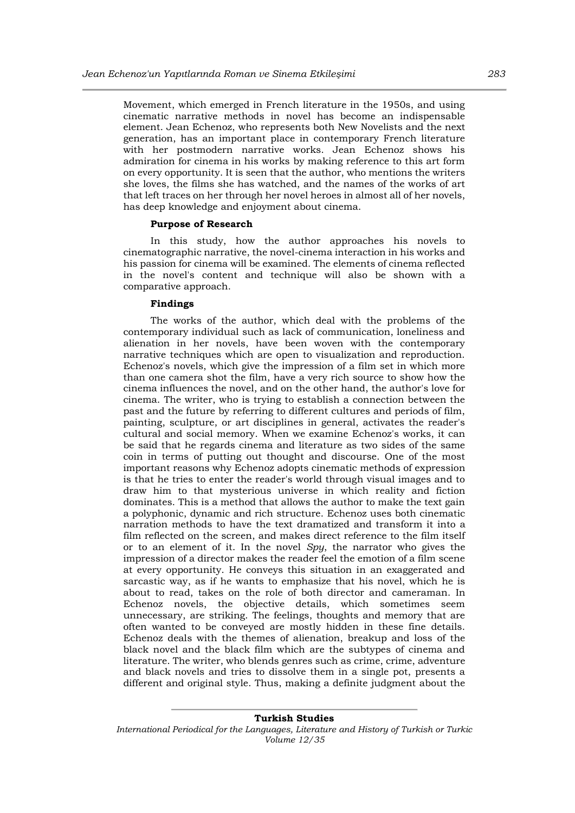Movement, which emerged in French literature in the 1950s, and using cinematic narrative methods in novel has become an indispensable element. Jean Echenoz, who represents both New Novelists and the next generation, has an important place in contemporary French literature with her postmodern narrative works. Jean Echenoz shows his admiration for cinema in his works by making reference to this art form on every opportunity. It is seen that the author, who mentions the writers she loves, the films she has watched, and the names of the works of art that left traces on her through her novel heroes in almost all of her novels, has deep knowledge and enjoyment about cinema.

#### **Purpose of Research**

In this study, how the author approaches his novels to cinematographic narrative, the novel-cinema interaction in his works and his passion for cinema will be examined. The elements of cinema reflected in the novel's content and technique will also be shown with a comparative approach.

### **Findings**

The works of the author, which deal with the problems of the contemporary individual such as lack of communication, loneliness and alienation in her novels, have been woven with the contemporary narrative techniques which are open to visualization and reproduction. Echenoz's novels, which give the impression of a film set in which more than one camera shot the film, have a very rich source to show how the cinema influences the novel, and on the other hand, the author's love for cinema. The writer, who is trying to establish a connection between the past and the future by referring to different cultures and periods of film, painting, sculpture, or art disciplines in general, activates the reader's cultural and social memory. When we examine Echenoz's works, it can be said that he regards cinema and literature as two sides of the same coin in terms of putting out thought and discourse. One of the most important reasons why Echenoz adopts cinematic methods of expression is that he tries to enter the reader's world through visual images and to draw him to that mysterious universe in which reality and fiction dominates. This is a method that allows the author to make the text gain a polyphonic, dynamic and rich structure. Echenoz uses both cinematic narration methods to have the text dramatized and transform it into a film reflected on the screen, and makes direct reference to the film itself or to an element of it. In the novel *Spy*, the narrator who gives the impression of a director makes the reader feel the emotion of a film scene at every opportunity. He conveys this situation in an exaggerated and sarcastic way, as if he wants to emphasize that his novel, which he is about to read, takes on the role of both director and cameraman. In Echenoz novels, the objective details, which sometimes seem unnecessary, are striking. The feelings, thoughts and memory that are often wanted to be conveyed are mostly hidden in these fine details. Echenoz deals with the themes of alienation, breakup and loss of the black novel and the black film which are the subtypes of cinema and literature. The writer, who blends genres such as crime, crime, adventure and black novels and tries to dissolve them in a single pot, presents a different and original style. Thus, making a definite judgment about the

#### **Turkish Studies**

*International Periodical for the Languages, Literature and History of Turkish or Turkic Volume 12/35*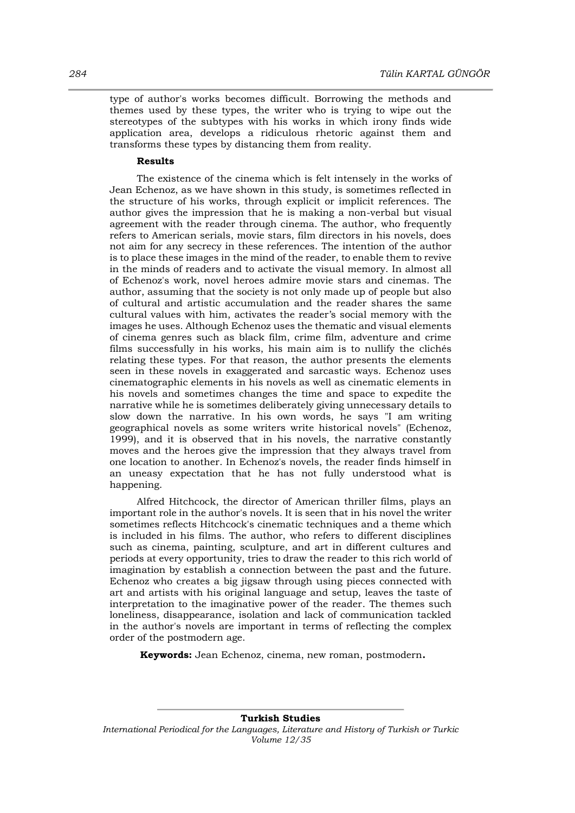type of author's works becomes difficult. Borrowing the methods and themes used by these types, the writer who is trying to wipe out the stereotypes of the subtypes with his works in which irony finds wide application area, develops a ridiculous rhetoric against them and transforms these types by distancing them from reality.

### **Results**

The existence of the cinema which is felt intensely in the works of Jean Echenoz, as we have shown in this study, is sometimes reflected in the structure of his works, through explicit or implicit references. The author gives the impression that he is making a non-verbal but visual agreement with the reader through cinema. The author, who frequently refers to American serials, movie stars, film directors in his novels, does not aim for any secrecy in these references. The intention of the author is to place these images in the mind of the reader, to enable them to revive in the minds of readers and to activate the visual memory. In almost all of Echenoz's work, novel heroes admire movie stars and cinemas. The author, assuming that the society is not only made up of people but also of cultural and artistic accumulation and the reader shares the same cultural values with him, activates the reader's social memory with the images he uses. Although Echenoz uses the thematic and visual elements of cinema genres such as black film, crime film, adventure and crime films successfully in his works, his main aim is to nullify the clichés relating these types. For that reason, the author presents the elements seen in these novels in exaggerated and sarcastic ways. Echenoz uses cinematographic elements in his novels as well as cinematic elements in his novels and sometimes changes the time and space to expedite the narrative while he is sometimes deliberately giving unnecessary details to slow down the narrative. In his own words, he says "I am writing geographical novels as some writers write historical novels" (Echenoz, 1999), and it is observed that in his novels, the narrative constantly moves and the heroes give the impression that they always travel from one location to another. In Echenoz's novels, the reader finds himself in an uneasy expectation that he has not fully understood what is happening.

Alfred Hitchcock, the director of American thriller films, plays an important role in the author's novels. It is seen that in his novel the writer sometimes reflects Hitchcock's cinematic techniques and a theme which is included in his films. The author, who refers to different disciplines such as cinema, painting, sculpture, and art in different cultures and periods at every opportunity, tries to draw the reader to this rich world of imagination by establish a connection between the past and the future. Echenoz who creates a big jigsaw through using pieces connected with art and artists with his original language and setup, leaves the taste of interpretation to the imaginative power of the reader. The themes such loneliness, disappearance, isolation and lack of communication tackled in the author's novels are important in terms of reflecting the complex order of the postmodern age.

**Keywords:** Jean Echenoz, cinema, new roman, postmodern**.**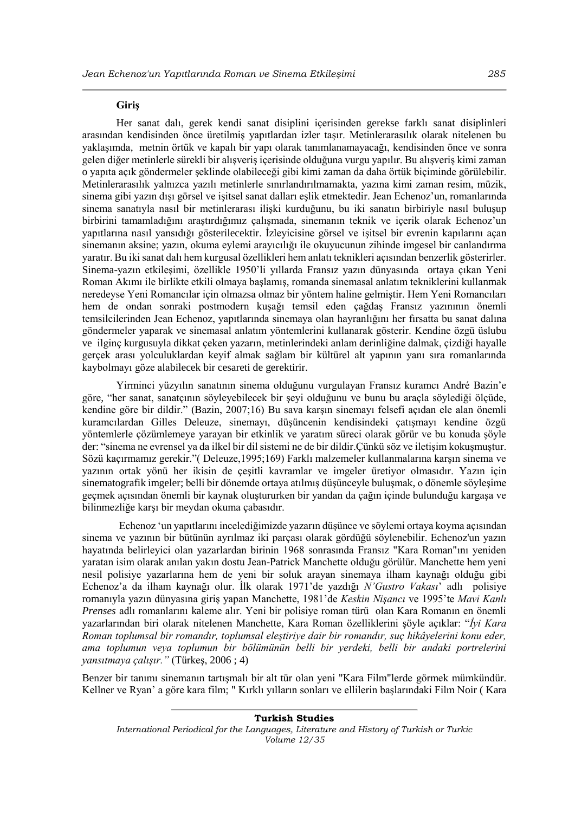### **Giriş**

Her sanat dalı, gerek kendi sanat disiplini içerisinden gerekse farklı sanat disiplinleri arasından kendisinden önce üretilmiş yapıtlardan izler taşır. Metinlerarasılık olarak nitelenen bu yaklaşımda, metnin örtük ve kapalı bir yapı olarak tanımlanamayacağı, kendisinden önce ve sonra gelen diğer metinlerle sürekli bir alışveriş içerisinde olduğuna vurgu yapılır. Bu alışveriş kimi zaman o yapıta açık göndermeler şeklinde olabileceği gibi kimi zaman da daha örtük biçiminde görülebilir. Metinlerarasılık yalnızca yazılı metinlerle sınırlandırılmamakta, yazına kimi zaman resim, müzik, sinema gibi yazın dışı görsel ve işitsel sanat dalları eşlik etmektedir. Jean Echenoz'un, romanlarında sinema sanatıyla nasıl bir metinlerarası ilişki kurduğunu, bu iki sanatın birbiriyle nasıl buluşup birbirini tamamladığını araştırdığımız çalışmada, sinemanın teknik ve içerik olarak Echenoz'un yapıtlarına nasıl yansıdığı gösterilecektir. İzleyicisine görsel ve işitsel bir evrenin kapılarını açan sinemanın aksine; yazın, okuma eylemi arayıcılığı ile okuyucunun zihinde imgesel bir canlandırma yaratır. Bu iki sanat dalı hem kurgusal özellikleri hem anlatı teknikleri açısından benzerlik gösterirler. Sinema-yazın etkileşimi, özellikle 1950'li yıllarda Fransız yazın dünyasında ortaya çıkan Yeni Roman Akımı ile birlikte etkili olmaya başlamış, romanda sinemasal anlatım tekniklerini kullanmak neredeyse Yeni Romancılar için olmazsa olmaz bir yöntem haline gelmiştir. Hem Yeni Romancıları hem de ondan sonraki postmodern kuşağı temsil eden çağdaş Fransız yazınının önemli temsilcilerinden Jean Echenoz, yapıtlarında sinemaya olan hayranlığını her fırsatta bu sanat dalına göndermeler yaparak ve sinemasal anlatım yöntemlerini kullanarak gösterir. Kendine özgü üslubu ve ilginç kurgusuyla dikkat çeken yazarın, metinlerindeki anlam derinliğine dalmak, çizdiği hayalle gerçek arası yolculuklardan keyif almak sağlam bir kültürel alt yapının yanı sıra romanlarında kaybolmayı göze alabilecek bir cesareti de gerektirir.

Yirminci yüzyılın sanatının sinema olduğunu vurgulayan Fransız kuramcı André Bazin'e göre, "her sanat, sanatçının söyleyebilecek bir şeyi olduğunu ve bunu bu araçla söylediği ölçüde, kendine göre bir dildir." (Bazin, 2007;16) Bu sava karşın sinemayı felsefi açıdan ele alan önemli kuramcılardan Gilles Deleuze, sinemayı, düşüncenin kendisindeki çatışmayı kendine özgü yöntemlerle çözümlemeye yarayan bir etkinlik ve yaratım süreci olarak görür ve bu konuda şöyle der: "sinema ne evrensel ya da ilkel bir dil sistemi ne de bir dildir.Çünkü söz ve iletişim kokuşmuştur. Sözü kaçırmamız gerekir."( Deleuze,1995;169) Farklı malzemeler kullanmalarına karşın sinema ve yazının ortak yönü her ikisin de çeşitli kavramlar ve imgeler üretiyor olmasıdır. Yazın için sinematografik imgeler; belli bir dönemde ortaya atılmış düşünceyle buluşmak, o dönemle söyleşime geçmek açısından önemli bir kaynak oluştururken bir yandan da çağın içinde bulunduğu kargaşa ve bilinmezliğe karşı bir meydan okuma çabasıdır.

Echenoz 'un yapıtlarını incelediğimizde yazarın düşünce ve söylemi ortaya koyma açısından sinema ve yazının bir bütünün ayrılmaz iki parçası olarak gördüğü söylenebilir. Echenoz'un yazın hayatında belirleyici olan yazarlardan birinin 1968 sonrasında Fransız "Kara Roman"ını yeniden yaratan isim olarak anılan yakın dostu Jean-Patrick Manchette olduğu görülür. Manchette hem yeni nesil polisiye yazarlarına hem de yeni bir soluk arayan sinemaya ilham kaynağı olduğu gibi Echenoz'a da ilham kaynağı olur. İlk olarak 1971'de yazdığı *N'Gustro Vakası*' adlı polisiye romanıyla yazın dünyasına giriş yapan Manchette, 1981'de *Keskin Nişancı* ve 1995'te *Mavi Kanlı Prenses* adlı romanlarını kaleme alır. Yeni bir polisiye roman türü olan Kara Romanın en önemli yazarlarından biri olarak nitelenen Manchette, Kara Roman özelliklerini şöyle açıklar: "*İyi Kara Roman toplumsal bir romandır, toplumsal eleştiriye dair bir romandır, suç hikâyelerini konu eder, ama toplumun veya toplumun bir bölümünün belli bir yerdeki, belli bir andaki portrelerini yansıtmaya çalışır."* (Türkeş, 2006 ; 4)

Benzer bir tanımı sinemanın tartışmalı bir alt tür olan yeni "Kara Film"lerde görmek mümkündür. Kellner ve Ryan' a göre kara film; " Kırklı yılların sonları ve ellilerin başlarındaki Film Noir ( Kara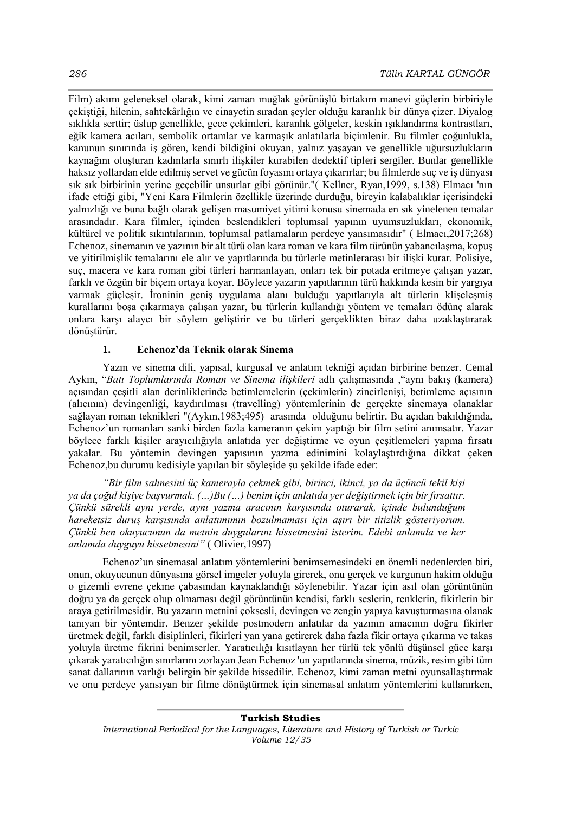Film) akımı geleneksel olarak, kimi zaman muğlak görünüşlü birtakım manevi güçlerin birbiriyle çekiştiği, hilenin, sahtekârlığın ve cinayetin sıradan şeyler olduğu karanlık bir dünya çizer. Diyalog sıklıkla serttir; üslup genellikle, gece çekimleri, karanlık gölgeler, keskin ışıklandırma kontrastları, eğik kamera acıları, sembolik ortamlar ve karmaşık anlatılarla biçimlenir. Bu filmler çoğunlukla, kanunun sınırında iş gören, kendi bildiğini okuyan, yalnız yaşayan ve genellikle uğursuzlukların kaynağını oluşturan kadınlarla sınırlı ilişkiler kurabilen dedektif tipleri sergiler. Bunlar genellikle haksız yollardan elde edilmiş servet ve gücün foyasını ortaya çıkarırlar; bu filmlerde suç ve iş dünyası sık sık birbirinin yerine geçebilir unsurlar gibi görünür."( Kellner, Ryan,1999, s.138) Elmacı 'nın ifade ettiği gibi, "Yeni Kara Filmlerin özellikle üzerinde durduğu, bireyin kalabalıklar içerisindeki yalnızlığı ve buna bağlı olarak gelişen masumiyet yitimi konusu sinemada en sık yinelenen temalar arasındadır. Kara filmler, içinden beslendikleri toplumsal yapının uyumsuzlukları, ekonomik, kültürel ve politik sıkıntılarının, toplumsal patlamaların perdeye yansımasıdır" ( Elmacı,2017;268) Echenoz, sinemanın ve yazının bir alt türü olan kara roman ve kara film türünün yabancılaşma, kopuş ve yitirilmişlik temalarını ele alır ve yapıtlarında bu türlerle metinlerarası bir ilişki kurar. Polisiye, suç, macera ve kara roman gibi türleri harmanlayan, onları tek bir potada eritmeye çalışan yazar, farklı ve özgün bir biçem ortaya koyar. Böylece yazarın yapıtlarının türü hakkında kesin bir yargıya varmak güçleşir. İroninin geniş uygulama alanı bulduğu yapıtlarıyla alt türlerin klişeleşmiş kurallarını boşa çıkarmaya çalışan yazar, bu türlerin kullandığı yöntem ve temaları ödünç alarak onlara karşı alaycı bir söylem geliştirir ve bu türleri gerçeklikten biraz daha uzaklaştırarak dönüştürür.

### **1. Echenoz'da Teknik olarak Sinema**

Yazın ve sinema dili, yapısal, kurgusal ve anlatım tekniği açıdan birbirine benzer. Cemal Aykın, "*Batı Toplumlarında Roman ve Sinema ilişkileri* adlı çalışmasında ,"aynı bakış (kamera) açısından çeşitli alan derinliklerinde betimlemelerin (çekimlerin) zincirlenişi, betimleme açısının (alıcının) devingenliği, kaydırılması (travelling) yöntemlerinin de gerçekte sinemaya olanaklar sağlayan roman teknikleri "(Aykın,1983;495) arasında olduğunu belirtir. Bu açıdan bakıldığında, Echenoz'un romanları sanki birden fazla kameranın çekim yaptığı bir film setini anımsatır. Yazar böylece farklı kişiler arayıcılığıyla anlatıda yer değiştirme ve oyun çeşitlemeleri yapma fırsatı yakalar. Bu yöntemin devingen yapısının yazma edinimini kolaylaştırdığına dikkat çeken Echenoz,bu durumu kedisiyle yapılan bir söyleşide şu şekilde ifade eder:

*"Bir film sahnesini üç kamerayla çekmek gibi, birinci, ikinci, ya da üçüncü tekil kişi ya da çoğul kişiye başvurmak. (…)Bu (…) benim için anlatıda yer değiştirmek için bir fırsattır. Çünkü sürekli aynı yerde, aynı yazma aracının karşısında oturarak, içinde bulunduğum hareketsiz duruş karşısında anlatımımın bozulmaması için aşırı bir titizlik gösteriyorum. Çünkü ben okuyucunun da metnin duygularını hissetmesini isterim. Edebi anlamda ve her anlamda duyguyu hissetmesini"* ( Olivier,1997)

Echenoz'un sinemasal anlatım yöntemlerini benimsemesindeki en önemli nedenlerden biri, onun, okuyucunun dünyasına görsel imgeler yoluyla girerek, onu gerçek ve kurgunun hakim olduğu o gizemli evrene çekme çabasından kaynaklandığı söylenebilir. Yazar için asıl olan görüntünün doğru ya da gerçek olup olmaması değil görüntünün kendisi, farklı seslerin, renklerin, fikirlerin bir araya getirilmesidir. Bu yazarın metnini çoksesli, devingen ve zengin yapıya kavuşturmasına olanak tanıyan bir yöntemdir. Benzer şekilde postmodern anlatılar da yazının amacının doğru fikirler üretmek değil, farklı disiplinleri, fikirleri yan yana getirerek daha fazla fikir ortaya çıkarma ve takas yoluyla üretme fikrini benimserler. Yaratıcılığı kısıtlayan her türlü tek yönlü düşünsel güce karşı çıkarak yaratıcılığın sınırlarını zorlayan Jean Echenoz 'un yapıtlarında sinema, müzik, resim gibi tüm sanat dallarının varlığı belirgin bir şekilde hissedilir. Echenoz, kimi zaman metni oyunsallaştırmak ve onu perdeye yansıyan bir filme dönüştürmek için sinemasal anlatım yöntemlerini kullanırken,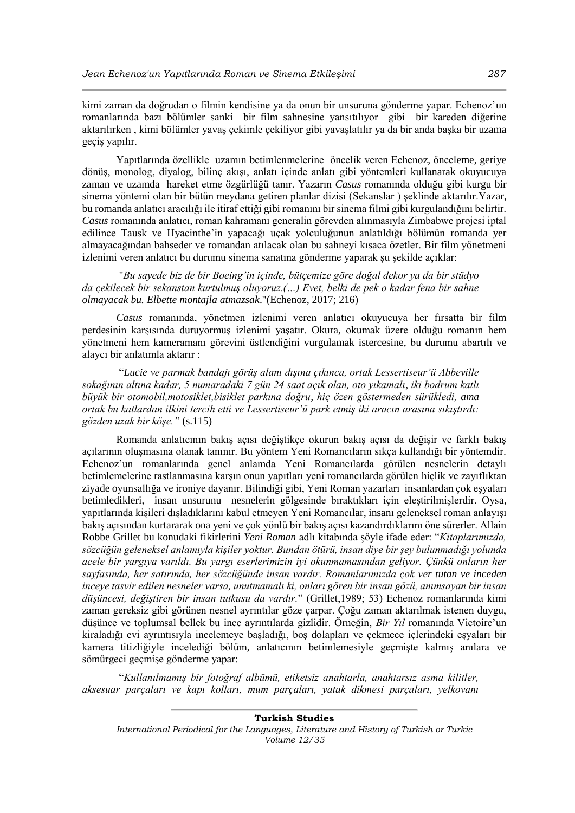kimi zaman da doğrudan o filmin kendisine ya da onun bir unsuruna gönderme yapar. Echenoz'un romanlarında bazı bölümler sanki bir film sahnesine yansıtılıyor gibi bir kareden diğerine aktarılırken , kimi bölümler yavaş çekimle çekiliyor gibi yavaşlatılır ya da bir anda başka bir uzama geçiş yapılır.

Yapıtlarında özellikle uzamın betimlenmelerine öncelik veren Echenoz, önceleme, geriye dönüş, monolog, diyalog, bilinç akışı, anlatı içinde anlatı gibi yöntemleri kullanarak okuyucuya zaman ve uzamda hareket etme özgürlüğü tanır. Yazarın *Casus* romanında olduğu gibi kurgu bir sinema yöntemi olan bir bütün meydana getiren planlar dizisi (Sekanslar ) şeklinde aktarılır.Yazar, bu romanda anlatıcı aracılığı ile itiraf ettiği gibi romanını bir sinema filmi gibi kurgulandığını belirtir. *Casus* romanında anlatıcı, roman kahramanı generalin görevden alınmasıyla Zimbabwe projesi iptal edilince Tausk ve Hyacinthe'in yapacağı uçak yolculuğunun anlatıldığı bölümün romanda yer almayacağından bahseder ve romandan atılacak olan bu sahneyi kısaca özetler. Bir film yönetmeni izlenimi veren anlatıcı bu durumu sinema sanatına gönderme yaparak şu şekilde açıklar:

"*Bu sayede biz de bir Boeing'in içinde, bütçemize göre doğal dekor ya da bir stüdyo da çekilecek bir sekanstan kurtulmuş oluyoruz.(…) Evet, belki de pek o kadar fena bir sahne olmayacak bu. Elbette montajla atmazsak*."(Echenoz, 2017; 216)

*Casus* romanında, yönetmen izlenimi veren anlatıcı okuyucuya her fırsatta bir film perdesinin karşısında duruyormuş izlenimi yaşatır. Okura, okumak üzere olduğu romanın hem yönetmeni hem kameramanı görevini üstlendiğini vurgulamak istercesine, bu durumu abartılı ve alaycı bir anlatımla aktarır :

"*Lucie ve parmak bandajı görüş alanı dışına çıkınca, ortak Lessertiseur'ü Abbeville sokağının altına kadar, 5 numaradaki 7 gün 24 saat açık olan, oto yıkamalı, iki bodrum katlı büyük bir otomobil,motosiklet,bisiklet parkına doğru, hiç özen göstermeden sürükledi, ama ortak bu katlardan ilkini tercih etti ve Lessertiseur'ü park etmiş iki aracın arasına sıkıştırdı: gözden uzak bir köşe."* (s.115)

Romanda anlatıcının bakış açısı değiştikçe okurun bakış açısı da değişir ve farklı bakış açılarının oluşmasına olanak tanınır. Bu yöntem Yeni Romancıların sıkça kullandığı bir yöntemdir. Echenoz'un romanlarında genel anlamda Yeni Romancılarda görülen nesnelerin detaylı betimlemelerine rastlanmasına karşın onun yapıtları yeni romancılarda görülen hiçlik ve zayıflıktan ziyade oyunsallığa ve ironiye dayanır. Bilindiği gibi, Yeni Roman yazarları insanlardan çok eşyaları betimledikleri, insan unsurunu nesnelerin gölgesinde bıraktıkları için eleştirilmişlerdir. Oysa, yapıtlarında kişileri dışladıklarını kabul etmeyen Yeni Romancılar, insanı geleneksel roman anlayışı bakış açısından kurtararak ona yeni ve çok yönlü bir bakış açısı kazandırdıklarını öne sürerler. Allain Robbe Grillet bu konudaki fikirlerini *Yeni Roman* adlı kitabında şöyle ifade eder: "*Kitaplarımızda, sözcüğün geleneksel anlamıyla kişiler yoktur. Bundan ötürü, insan diye bir şey bulunmadığı yolunda acele bir yargıya varıldı. Bu yargı eserlerimizin iyi okunmamasından geliyor. Çünkü onların her sayfasında, her satırında, her sözcüğünde insan vardır. Romanlarımızda çok ver tutan ve inceden inceye tasvir edilen nesneler varsa, unutmamalı ki, onları gören bir insan gözü, anımsayan bir insan düşüncesi, değiştiren bir insan tutkusu da vardır.*" (Grillet,1989; 53) Echenoz romanlarında kimi zaman gereksiz gibi görünen nesnel ayrıntılar göze çarpar. Çoğu zaman aktarılmak istenen duygu, düşünce ve toplumsal bellek bu ince ayrıntılarda gizlidir. Örneğin, *Bir Yıl* romanında Victoire'un kiraladığı evi ayrıntısıyla incelemeye başladığı, boş dolapları ve çekmece içlerindeki eşyaları bir kamera titizliğiyle incelediği bölüm, anlatıcının betimlemesiyle geçmişte kalmış anılara ve sömürgeci geçmişe gönderme yapar:

"*Kullanılmamış bir fotoğraf albümü, etiketsiz anahtarla, anahtarsız asma kilitler, aksesuar parçaları ve kapı kolları, mum parçaları, yatak dikmesi parçaları, yelkovanı*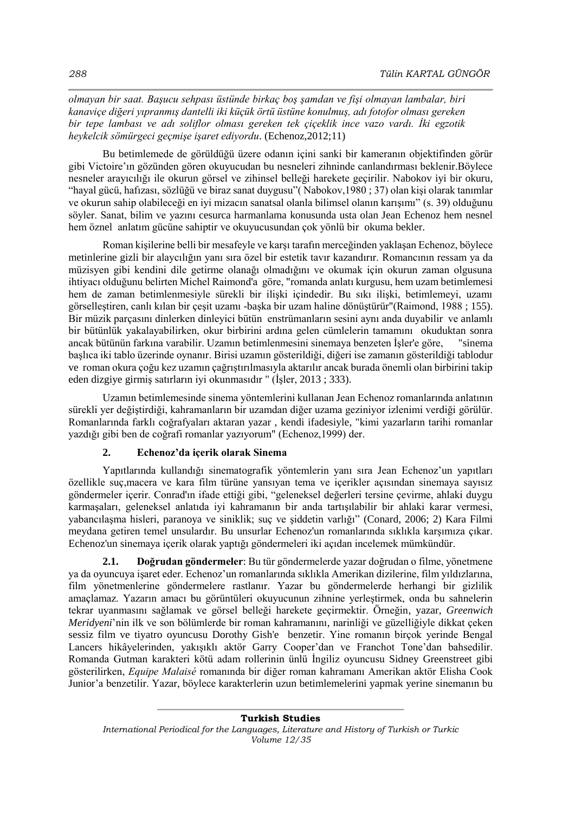*olmayan bir saat. Başucu sehpası üstünde birkaç boş şamdan ve fişi olmayan lambalar, biri kanaviçe diğeri yıpranmış dantelli iki küçük örtü üstüne konulmuş, adı fotofor olması gereken bir tepe lambası ve adı soliflor olması gereken tek çiçeklik ince vazo vardı. İki egzotik heykelcik sömürgeci geçmişe işaret ediyordu*. (Echenoz,2012;11)

Bu betimlemede de görüldüğü üzere odanın içini sanki bir kameranın objektifinden görür gibi Victoire'ın gözünden gören okuyucudan bu nesneleri zihninde canlandırması beklenir.Böylece nesneler arayıcılığı ile okurun görsel ve zihinsel belleği harekete geçirilir. Nabokov iyi bir okuru, "hayal gücü, hafızası, sözlüğü ve biraz sanat duygusu"( Nabokov,1980 ; 37) olan kişi olarak tanımlar ve okurun sahip olabileceği en iyi mizacın sanatsal olanla bilimsel olanın karışımı" (s. 39) olduğunu söyler. Sanat, bilim ve yazını cesurca harmanlama konusunda usta olan Jean Echenoz hem nesnel hem öznel anlatım gücüne sahiptir ve okuyucusundan çok yönlü bir okuma bekler.

Roman kişilerine belli bir mesafeyle ve karşı tarafın merceğinden yaklaşan Echenoz, böylece metinlerine gizli bir alaycılığın yanı sıra özel bir estetik tavır kazandırır. Romancının ressam ya da müzisyen gibi kendini dile getirme olanağı olmadığını ve okumak için okurun zaman olgusuna ihtiyacı olduğunu belirten Michel Raimond'a göre, "romanda anlatı kurgusu, hem uzam betimlemesi hem de zaman betimlenmesiyle sürekli bir ilişki içindedir. Bu sıkı ilişki, betimlemeyi, uzamı görselleştiren, canlı kılan bir çeşit uzamı -başka bir uzam haline dönüştürür"(Raimond, 1988 ; 155). Bir müzik parçasını dinlerken dinleyici bütün enstrümanların sesini aynı anda duyabilir ve anlamlı bir bütünlük yakalayabilirken, okur birbirini ardına gelen cümlelerin tamamını okuduktan sonra ancak bütünün farkına varabilir. Uzamın betimlenmesini sinemaya benzeten İşler'e göre, "sinema başlıca iki tablo üzerinde oynanır. Birisi uzamın gösterildiği, diğeri ise zamanın gösterildiği tablodur ve roman okura çoğu kez uzamın çağrıştırılmasıyla aktarılır ancak burada önemli olan birbirini takip eden dizgiye girmiş satırların iyi okunmasıdır " (İşler, 2013 ; 333).

Uzamın betimlemesinde sinema yöntemlerini kullanan Jean Echenoz romanlarında anlatının sürekli yer değiştirdiği, kahramanların bir uzamdan diğer uzama geziniyor izlenimi verdiği görülür. Romanlarında farklı coğrafyaları aktaran yazar , kendi ifadesiyle, "kimi yazarların tarihi romanlar yazdığı gibi ben de coğrafi romanlar yazıyorum" (Echenoz,1999) der.

# **2. Echenoz'da içerik olarak Sinema**

Yapıtlarında kullandığı sinematografik yöntemlerin yanı sıra Jean Echenoz'un yapıtları özellikle suç,macera ve kara film türüne yansıyan tema ve içerikler açısından sinemaya sayısız göndermeler içerir. Conrad'ın ifade ettiği gibi, "geleneksel değerleri tersine çevirme, ahlaki duygu karmaşaları, geleneksel anlatıda iyi kahramanın bir anda tartışılabilir bir ahlaki karar vermesi, yabancılaşma hisleri, paranoya ve siniklik; suç ve şiddetin varlığı" (Conard, 2006; 2) Kara Filmi meydana getiren temel unsulardır. Bu unsurlar Echenoz'un romanlarında sıklıkla karşımıza çıkar. Echenoz'un sinemaya içerik olarak yaptığı göndermeleri iki açıdan incelemek mümkündür.

**2.1. Doğrudan göndermeler**: Bu tür göndermelerde yazar doğrudan o filme, yönetmene ya da oyuncuya işaret eder. Echenoz'un romanlarında sıklıkla Amerikan dizilerine, film yıldızlarına, film yönetmenlerine göndermelere rastlanır. Yazar bu göndermelerde herhangi bir gizlilik amaçlamaz. Yazarın amacı bu görüntüleri okuyucunun zihnine yerleştirmek, onda bu sahnelerin tekrar uyanmasını sağlamak ve görsel belleği harekete geçirmektir. Örneğin, yazar, *Greenwich Meridyeni*'nin ilk ve son bölümlerde bir roman kahramanını, narinliği ve güzelliğiyle dikkat çeken sessiz film ve tiyatro oyuncusu Dorothy Gish'e benzetir. Yine romanın birçok yerinde Bengal Lancers hikâyelerinden, yakışıklı aktör Garry Cooper'dan ve Franchot Tone'dan bahsedilir. Romanda Gutman karakteri kötü adam rollerinin ünlü İngiliz oyuncusu Sidney Greenstreet gibi gösterilirken, *Equipe Malaisé* romanında bir diğer roman kahramanı Amerikan aktör Elisha Cook Junior'a benzetilir. Yazar, böylece karakterlerin uzun betimlemelerini yapmak yerine sinemanın bu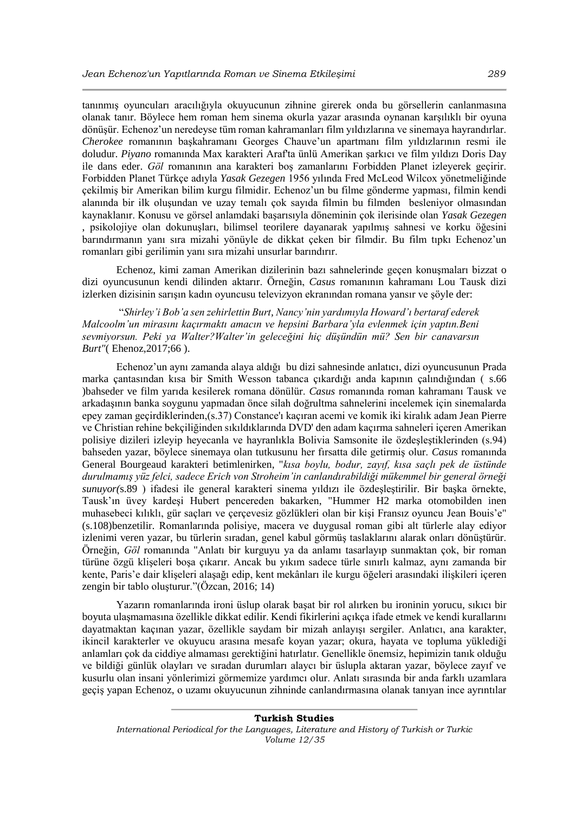tanınmış oyuncuları aracılığıyla okuyucunun zihnine girerek onda bu görsellerin canlanmasına olanak tanır. Böylece hem roman hem sinema okurla yazar arasında oynanan karşılıklı bir oyuna dönüşür. Echenoz'un neredeyse tüm roman kahramanları film yıldızlarına ve sinemaya hayrandırlar. *Cherokee* romanının başkahramanı Georges Chauve'un apartmanı film yıldızlarının resmi ile doludur. *Piyano* romanında Max karakteri Araf'ta ünlü Amerikan şarkıcı ve film yıldızı Doris Day ile dans eder. *Göl* romanının ana karakteri boş zamanlarını Forbidden Planet izleyerek geçirir. Forbidden Planet Türkçe adıyla *Yasak Gezegen* 1956 yılında Fred McLeod Wilcox yönetmeliğinde çekilmiş bir Amerikan bilim kurgu filmidir. Echenoz'un bu filme gönderme yapması, filmin kendi alanında bir ilk oluşundan ve uzay temalı çok sayıda filmin bu filmden besleniyor olmasından kaynaklanır. Konusu ve görsel anlamdaki başarısıyla döneminin çok ilerisinde olan *Yasak Gezegen*  , psikolojiye olan dokunuşları, bilimsel teorilere dayanarak yapılmış sahnesi ve korku öğesini barındırmanın yanı sıra mizahi yönüyle de dikkat çeken bir filmdir. Bu film tıpkı Echenoz'un romanları gibi gerilimin yanı sıra mizahi unsurlar barındırır.

Echenoz, kimi zaman Amerikan dizilerinin bazı sahnelerinde geçen konuşmaları bizzat o dizi oyuncusunun kendi dilinden aktarır. Örneğin, *Casus* romanının kahramanı Lou Tausk dizi izlerken dizisinin sarışın kadın oyuncusu televizyon ekranından romana yansır ve şöyle der:

"*Shirley'i Bob'a sen zehirlettin Burt, Nancy'nin yardımıyla Howard'ı bertaraf ederek Malcoolm'un mirasını kaçırmaktı amacın ve hepsini Barbara'yla evlenmek için yaptın.Beni sevmiyorsun. Peki ya Walter?Walter'in geleceğini hiç düşündün mü? Sen bir canavarsın Burt"*( Ehenoz,2017;66 ).

Echenoz'un aynı zamanda alaya aldığı bu dizi sahnesinde anlatıcı, dizi oyuncusunun Prada marka çantasından kısa bir Smith Wesson tabanca çıkardığı anda kapının çalındığından ( s.66 )bahseder ve film yarıda kesilerek romana dönülür. *Casus* romanında roman kahramanı Tausk ve arkadaşının banka soygunu yapmadan önce silah doğrultma sahnelerini incelemek için sinemalarda epey zaman geçirdiklerinden,(s.37) Constance'ı kaçıran acemi ve komik iki kiralık adam Jean Pierre ve Christian rehine bekçiliğinden sıkıldıklarında DVD' den adam kaçırma sahneleri içeren Amerikan polisiye dizileri izleyip heyecanla ve hayranlıkla Bolivia Samsonite ile özdeşleştiklerinden (s.94) bahseden yazar, böylece sinemaya olan tutkusunu her fırsatta dile getirmiş olur. *Casus* romanında General Bourgeaud karakteri betimlenirken, "*kısa boylu, bodur, zayıf, kısa saçlı pek de üstünde durulmamış yüz felci, sadece Erich von Stroheim'in canlandırabildiği mükemmel bir general örneği sunuyor(*s.89 ) ifadesi ile general karakteri sinema yıldızı ile özdeşleştirilir. Bir başka örnekte, Tausk'ın üvey kardeşi Hubert pencereden bakarken, "Hummer H2 marka otomobilden inen muhasebeci kılıklı, gür saçları ve çerçevesiz gözlükleri olan bir kişi Fransız oyuncu Jean Bouis'e" (s.108)benzetilir. Romanlarında polisiye, macera ve duygusal roman gibi alt türlerle alay ediyor izlenimi veren yazar, bu türlerin sıradan, genel kabul görmüş taslaklarını alarak onları dönüştürür. Örneğin, *Göl* romanında "Anlatı bir kurguyu ya da anlamı tasarlayıp sunmaktan çok, bir roman türüne özgü klişeleri boşa çıkarır. Ancak bu yıkım sadece türle sınırlı kalmaz, aynı zamanda bir kente, Paris'e dair klişeleri alaşağı edip, kent mekânları ile kurgu öğeleri arasındaki ilişkileri içeren zengin bir tablo oluşturur."(Özcan, 2016; 14)

Yazarın romanlarında ironi üslup olarak başat bir rol alırken bu ironinin yorucu, sıkıcı bir boyuta ulaşmamasına özellikle dikkat edilir. Kendi fikirlerini açıkça ifade etmek ve kendi kurallarını dayatmaktan kaçınan yazar, özellikle saydam bir mizah anlayışı sergiler. Anlatıcı, ana karakter, ikincil karakterler ve okuyucu arasına mesafe koyan yazar; okura, hayata ve topluma yüklediği anlamları çok da ciddiye almaması gerektiğini hatırlatır. Genellikle önemsiz, hepimizin tanık olduğu ve bildiği günlük olayları ve sıradan durumları alaycı bir üslupla aktaran yazar, böylece zayıf ve kusurlu olan insani yönlerimizi görmemize yardımcı olur. Anlatı sırasında bir anda farklı uzamlara geçiş yapan Echenoz, o uzamı okuyucunun zihninde canlandırmasına olanak tanıyan ince ayrıntılar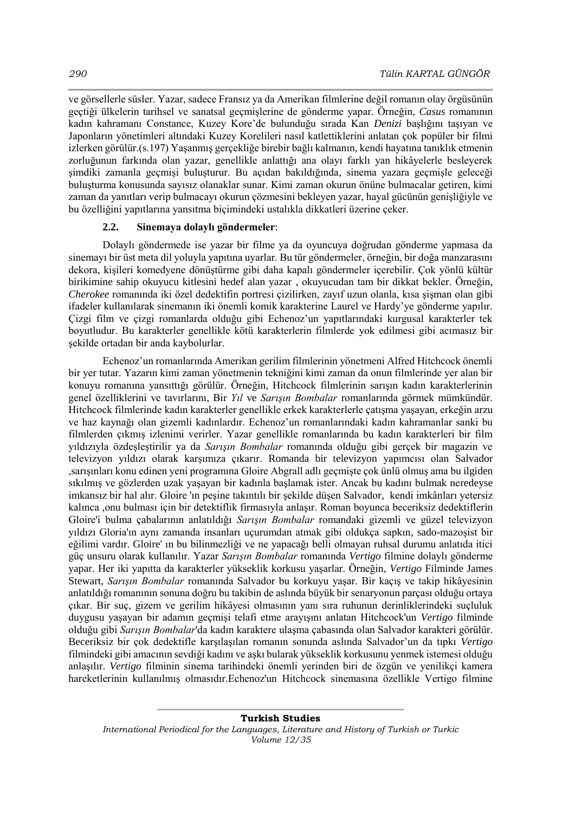ve görsellerle süsler. Yazar, sadece Fransız ya da Amerikan filmlerine değil romanın olay örgüsünün geçtiği ülkelerin tarihsel ve sanatsal geçmişlerine de gönderme yapar. Örneğin, *Casus* romanının kadın kahramanı Constance, Kuzey Kore'de bulunduğu sırada Kan *Denizi* başlığını taşıyan ve Japonların yönetimleri altındaki Kuzey Korelileri nasıl katlettiklerini anlatan çok popüler bir filmi izlerken görülür.(s.197) Yaşanmış gerçekliğe birebir bağlı kalmanın, kendi hayatına tanıklık etmenin zorluğunun farkında olan yazar, genellikle anlattığı ana olayı farklı yan hikâyelerle besleyerek şimdiki zamanla geçmişi buluşturur. Bu açıdan bakıldığında, sinema yazara geçmişle geleceği buluşturma konusunda sayısız olanaklar sunar. Kimi zaman okurun önüne bulmacalar getiren, kimi zaman da yanıtları verip bulmacayı okurun çözmesini bekleyen yazar, hayal gücünün genişliğiyle ve bu özelliğini yapıtlarına yansıtma biçimindeki ustalıkla dikkatleri üzerine çeker.

### **2.2. Sinemaya dolaylı göndermeler**:

Dolaylı göndermede ise yazar bir filme ya da oyuncuya doğrudan gönderme yapmasa da sinemayı bir üst meta dil yoluyla yapıtına uyarlar. Bu tür göndermeler, örneğin, bir doğa manzarasını dekora, kişileri komedyene dönüştürme gibi daha kapalı göndermeler içerebilir. Çok yönlü kültür birikimine sahip okuyucu kitlesini hedef alan yazar , okuyucudan tam bir dikkat bekler. Örneğin, *Cherokee* romanında iki özel dedektifin portresi çizilirken, zayıf uzun olanla, kısa şişman olan gibi ifadeler kullanılarak sinemanın iki önemli komik karakterine Laurel ve Hardy'ye gönderme yapılır. Çizgi film ve çizgi romanlarda olduğu gibi Echenoz'un yapıtlarındaki kurgusal karakterler tek boyutludur. Bu karakterler genellikle kötü karakterlerin filmlerde yok edilmesi gibi acımasız bir şekilde ortadan bir anda kaybolurlar.

Echenoz'un romanlarında Amerikan gerilim filmlerinin yönetmeni Alfred Hitchcock önemli bir yer tutar. Yazarın kimi zaman yönetmenin tekniğini kimi zaman da onun filmlerinde yer alan bir konuyu romanına yansıttığı görülür. Örneğin, Hitchcock filmlerinin sarışın kadın karakterlerinin genel özelliklerini ve tavırlarını, Bir *Yıl* ve *Sarışın Bombalar* romanlarında görmek mümkündür. Hitchcock filmlerinde kadın karakterler genellikle erkek karakterlerle çatışma yaşayan, erkeğin arzu ve haz kaynağı olan gizemli kadınlardır. Echenoz'un romanlarındaki kadın kahramanlar sanki bu filmlerden çıkmış izlenimi verirler. Yazar genellikle romanlarında bu kadın karakterleri bir film yıldızıyla özdeşleştirilir ya da *Sarışın Bombalar* romanında olduğu gibi gerçek bir magazin ve televizyon yıldızı olarak karşımıza çıkarır. Romanda bir televizyon yapımcısı olan Salvador ,sarışınları konu edinen yeni programına Gloire Abgrall adlı geçmişte çok ünlü olmuş ama bu ilgiden sıkılmış ve gözlerden uzak yaşayan bir kadınla başlamak ister. Ancak bu kadını bulmak neredeyse imkansız bir hal alır. Gloire 'ın peşine takıntılı bir şekilde düşen Salvador, kendi imkânları yetersiz kalınca ,onu bulması için bir detektiflik firmasıyla anlaşır. Roman boyunca beceriksiz dedektiflerin Gloire'i bulma çabalarının anlatıldığı *Sarışın Bombalar* romandaki gizemli ve güzel televizyon yıldızı Gloria'ın aynı zamanda insanları uçurumdan atmak gibi oldukça sapkın, sado-mazoşist bir eğilimi vardır. Gloire' ın bu bilinmezliği ve ne yapacağı belli olmayan ruhsal durumu anlatıda itici güç unsuru olarak kullanılır. Yazar *Sarışın Bombalar* romanında *Vertigo* filmine dolaylı gönderme yapar. Her iki yapıtta da karakterler yükseklik korkusu yaşarlar. Örneğin, *Vertigo* Filminde James Stewart, *Sarışın Bombalar* romanında Salvador bu korkuyu yaşar. Bir kaçış ve takip hikâyesinin anlatıldığı romanının sonuna doğru bu takibin de aslında büyük bir senaryonun parçası olduğu ortaya çıkar. Bir suç, gizem ve gerilim hikâyesi olmasının yanı sıra ruhunun derinliklerindeki suçluluk duygusu yaşayan bir adamın geçmişi telafi etme arayışını anlatan Hitchcock'un *Vertigo* filminde olduğu gibi *Sarışın Bombalar*'da kadın karaktere ulaşma çabasında olan Salvador karakteri görülür. Beceriksiz bir çok dedektifle karşılaşılan romanın sonunda aslında Salvador'un da tıpkı *Vertigo*  filmindeki gibi amacının sevdiği kadını ve aşkı bularak yükseklik korkusunu yenmek istemesi olduğu anlaşılır. *Vertigo* filminin sinema tarihindeki önemli yerinden biri de özgün ve yenilikçi kamera hareketlerinin kullanılmış olmasıdır.Echenoz'un Hitchcock sinemasına özellikle Vertigo filmine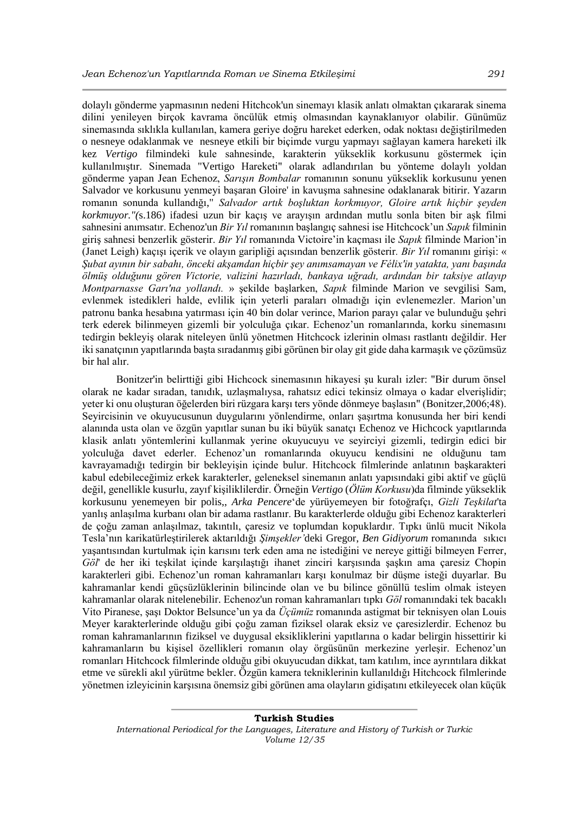dolaylı gönderme yapmasının nedeni Hitchcok'un sinemayı klasik anlatı olmaktan çıkararak sinema dilini yenileyen birçok kavrama öncülük etmiş olmasından kaynaklanıyor olabilir. Günümüz sinemasında sıklıkla kullanılan, kamera geriye doğru hareket ederken, odak noktası değiştirilmeden o nesneye odaklanmak ve nesneye etkili bir biçimde vurgu yapmayı sağlayan kamera hareketi ilk kez *Vertigo* filmindeki kule sahnesinde, karakterin yükseklik korkusunu göstermek için kullanılmıştır. Sinemada "Vertigo Hareketi" olarak adlandırılan bu yönteme dolaylı yoldan gönderme yapan Jean Echenoz, *Sarışın Bombalar* romanının sonunu yükseklik korkusunu yenen Salvador ve korkusunu yenmeyi başaran Gloire' in kavuşma sahnesine odaklanarak bitirir. Yazarın romanın sonunda kullandığı," *Salvador artık boşluktan korkmuyor, Gloire artık hiçbir şeyden korkmuyor."(*s.186) ifadesi uzun bir kaçış ve arayışın ardından mutlu sonla biten bir aşk filmi sahnesini anımsatır. Echenoz'un *Bir Yıl* romanının başlangıç sahnesi ise Hitchcock'un *Sapık* filminin giriş sahnesi benzerlik gösterir. *Bir Yıl* romanında Victoire'in kaçması ile *Sapık* filminde Marion'in (Janet Leigh) kaçışı içerik ve olayın garipliği açısından benzerlik gösterir*. Bir Yıl* romanını girişi: « *Şubat ayının bir sabahı, önceki akşamdan hiçbir şey anımsamayan ve Félix'in yatakta, yanı başında ölmüş olduğunu gören Victorie, valizini hazırladı, bankaya uğradı, ardından bir taksiye atlayıp Montparnasse Garı'na yollandı.* » şekilde başlarken, *Sapık* filminde Marion ve sevgilisi Sam, evlenmek istedikleri halde, evlilik için yeterli paraları olmadığı için evlenemezler. Marion'un patronu banka hesabına yatırması için 40 bin dolar verince, Marion parayı çalar ve bulunduğu şehri terk ederek bilinmeyen gizemli bir yolculuğa çıkar. Echenoz'un romanlarında, korku sinemasını tedirgin bekleyiş olarak niteleyen ünlü yönetmen Hitchcock izlerinin olması rastlantı değildir. Her iki sanatçının yapıtlarında başta sıradanmış gibi görünen bir olay git gide daha karmaşık ve çözümsüz bir hal alır.

Bonitzer'in belirttiği gibi Hichcock sinemasının hikayesi şu kuralı izler: "Bir durum önsel olarak ne kadar sıradan, tanıdık, uzlaşmalıysa, rahatsız edici tekinsiz olmaya o kadar elverişlidir; yeter ki onu oluşturan öğelerden biri rüzgara karşı ters yönde dönmeye başlasın" (Bonitzer,2006;48). Seyircisinin ve okuyucusunun duygularını yönlendirme, onları şaşırtma konusunda her biri kendi alanında usta olan ve özgün yapıtlar sunan bu iki büyük sanatçı Echenoz ve Hichcock yapıtlarında klasik anlatı yöntemlerini kullanmak yerine okuyucuyu ve seyirciyi gizemli, tedirgin edici bir yolculuğa davet ederler. Echenoz'un romanlarında okuyucu kendisini ne olduğunu tam kavrayamadığı tedirgin bir bekleyişin içinde bulur. Hitchcock filmlerinde anlatının başkarakteri kabul edebileceğimiz erkek karakterler, geleneksel sinemanın anlatı yapısındaki gibi aktif ve güçlü değil, genellikle kusurlu, zayıf kişiliklilerdir. Örneğin *Vertigo* (*Ölüm Korkusu*)da filminde yükseklik korkusunu yenemeyen bir polis,, *Arka Pencere*'de yürüyemeyen bir fotoğrafçı, *Gizli Teşkilat*'ta yanlış anlaşılma kurbanı olan bir adama rastlanır. Bu karakterlerde olduğu gibi Echenoz karakterleri de çoğu zaman anlaşılmaz, takıntılı, çaresiz ve toplumdan kopuklardır. Tıpkı ünlü mucit Nikola Tesla'nın karikatürleştirilerek aktarıldığı *Şimşekler'*deki Gregor, *Ben Gidiyorum* romanında sıkıcı yaşantısından kurtulmak için karısını terk eden ama ne istediğini ve nereye gittiği bilmeyen Ferrer, *Göl*' de her iki teşkilat içinde karşılaştığı ihanet zinciri karşısında şaşkın ama çaresiz Chopin karakterleri gibi. Echenoz'un roman kahramanları karşı konulmaz bir düşme isteği duyarlar. Bu kahramanlar kendi güçsüzlüklerinin bilincinde olan ve bu bilince gönüllü teslim olmak isteyen kahramanlar olarak nitelenebilir. Echenoz'un roman kahramanları tıpkı *Göl* romanındaki tek bacaklı Vito Piranese, şaşı Doktor Belsunce'un ya da *Üçümüz* romanında astigmat bir teknisyen olan Louis Meyer karakterlerinde olduğu gibi çoğu zaman fiziksel olarak eksiz ve çaresizlerdir. Echenoz bu roman kahramanlarının fiziksel ve duygusal eksikliklerini yapıtlarına o kadar belirgin hissettirir ki kahramanların bu kişisel özellikleri romanın olay örgüsünün merkezine yerleşir. Echenoz'un romanları Hitchcock filmlerinde olduğu gibi okuyucudan dikkat, tam katılım, ince ayrıntılara dikkat etme ve sürekli akıl yürütme bekler. Özgün kamera tekniklerinin kullanıldığı Hitchcock filmlerinde yönetmen izleyicinin karşısına önemsiz gibi görünen ama olayların gidişatını etkileyecek olan küçük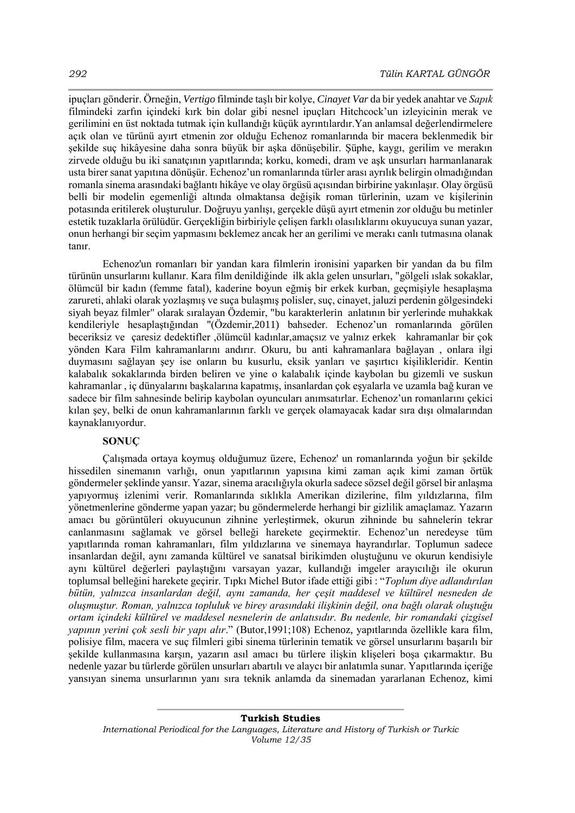ipuçları gönderir. Örneğin, *Vertigo* filminde taşlı bir kolye, *Cinayet Var* da bir yedek anahtar ve *Sapık* filmindeki zarfın içindeki kırk bin dolar gibi nesnel ipuçları Hitchcock'un izleyicinin merak ve gerilimini en üst noktada tutmak için kullandığı küçük ayrıntılardır.Yan anlamsal değerlendirmelere açık olan ve türünü ayırt etmenin zor olduğu Echenoz romanlarında bir macera beklenmedik bir şekilde suç hikâyesine daha sonra büyük bir aşka dönüşebilir. Şüphe, kaygı, gerilim ve merakın zirvede olduğu bu iki sanatçının yapıtlarında; korku, komedi, dram ve aşk unsurları harmanlanarak usta birer sanat yapıtına dönüşür. Echenoz'un romanlarında türler arası ayrılık belirgin olmadığından romanla sinema arasındaki bağlantı hikâye ve olay örgüsü açısından birbirine yakınlaşır. Olay örgüsü belli bir modelin egemenliği altında olmaktansa değişik roman türlerinin, uzam ve kişilerinin potasında eritilerek oluşturulur. Doğruyu yanlışı, gerçekle düşü ayırt etmenin zor olduğu bu metinler estetik tuzaklarla örülüdür. Gerçekliğin birbiriyle çelişen farklı olasılıklarını okuyucuya sunan yazar, onun herhangi bir seçim yapmasını beklemez ancak her an gerilimi ve merakı canlı tutmasına olanak tanır.

Echenoz'un romanları bir yandan kara filmlerin ironisini yaparken bir yandan da bu film türünün unsurlarını kullanır. Kara film denildiğinde ilk akla gelen unsurları, "gölgeli ıslak sokaklar, ölümcül bir kadın (femme fatal), kaderine boyun eğmiş bir erkek kurban, geçmişiyle hesaplaşma zarureti, ahlaki olarak yozlaşmış ve suça bulaşmış polisler, suç, cinayet, jaluzi perdenin gölgesindeki siyah beyaz filmler" olarak sıralayan Özdemir, "bu karakterlerin anlatının bir yerlerinde muhakkak kendileriyle hesaplaştığından "(Özdemir,2011) bahseder. Echenoz'un romanlarında görülen beceriksiz ve çaresiz dedektifler ,ölümcül kadınlar,amaçsız ve yalnız erkek kahramanlar bir çok yönden Kara Film kahramanlarını andırır. Okuru, bu anti kahramanlara bağlayan , onlara ilgi duymasını sağlayan şey ise onların bu kusurlu, eksik yanları ve şaşırtıcı kişilikleridir. Kentin kalabalık sokaklarında birden beliren ve yine o kalabalık içinde kaybolan bu gizemli ve suskun kahramanlar , iç dünyalarını başkalarına kapatmış, insanlardan çok eşyalarla ve uzamla bağ kuran ve sadece bir film sahnesinde belirip kaybolan oyuncuları anımsatırlar. Echenoz'un romanlarını çekici kılan şey, belki de onun kahramanlarının farklı ve gerçek olamayacak kadar sıra dışı olmalarından kaynaklanıyordur.

# **SONUÇ**

Çalışmada ortaya koymuş olduğumuz üzere, Echenoz' un romanlarında yoğun bir şekilde hissedilen sinemanın varlığı, onun yapıtlarının yapısına kimi zaman açık kimi zaman örtük göndermeler şeklinde yansır. Yazar, sinema aracılığıyla okurla sadece sözsel değil görsel bir anlaşma yapıyormuş izlenimi verir. Romanlarında sıklıkla Amerikan dizilerine, film yıldızlarına, film yönetmenlerine gönderme yapan yazar; bu göndermelerde herhangi bir gizlilik amaçlamaz. Yazarın amacı bu görüntüleri okuyucunun zihnine yerleştirmek, okurun zihninde bu sahnelerin tekrar canlanmasını sağlamak ve görsel belleği harekete geçirmektir. Echenoz'un neredeyse tüm yapıtlarında roman kahramanları, film yıldızlarına ve sinemaya hayrandırlar. Toplumun sadece insanlardan değil, aynı zamanda kültürel ve sanatsal birikimden oluştuğunu ve okurun kendisiyle aynı kültürel değerleri paylaştığını varsayan yazar, kullandığı imgeler arayıcılığı ile okurun toplumsal belleğini harekete geçirir. Tıpkı Michel Butor ifade ettiği gibi : "*Toplum diye adlandırılan bütün, yalnızca insanlardan değil, aynı zamanda, her çeşit maddesel ve kültürel nesneden de oluşmuştur. Roman, yalnızca topluluk ve birey arasındaki ilişkinin değil, ona bağlı olarak oluştuğu ortam içindeki kültürel ve maddesel nesnelerin de anlatısıdır. Bu nedenle, bir romandaki çizgisel yapının yerini çok sesli bir yapı alır*." (Butor,1991;108) Echenoz, yapıtlarında özellikle kara film, polisiye film, macera ve suç filmleri gibi sinema türlerinin tematik ve görsel unsurlarını başarılı bir şekilde kullanmasına karşın, yazarın asıl amacı bu türlere ilişkin klişeleri boşa çıkarmaktır. Bu nedenle yazar bu türlerde görülen unsurları abartılı ve alaycı bir anlatımla sunar. Yapıtlarında içeriğe yansıyan sinema unsurlarının yanı sıra teknik anlamda da sinemadan yararlanan Echenoz, kimi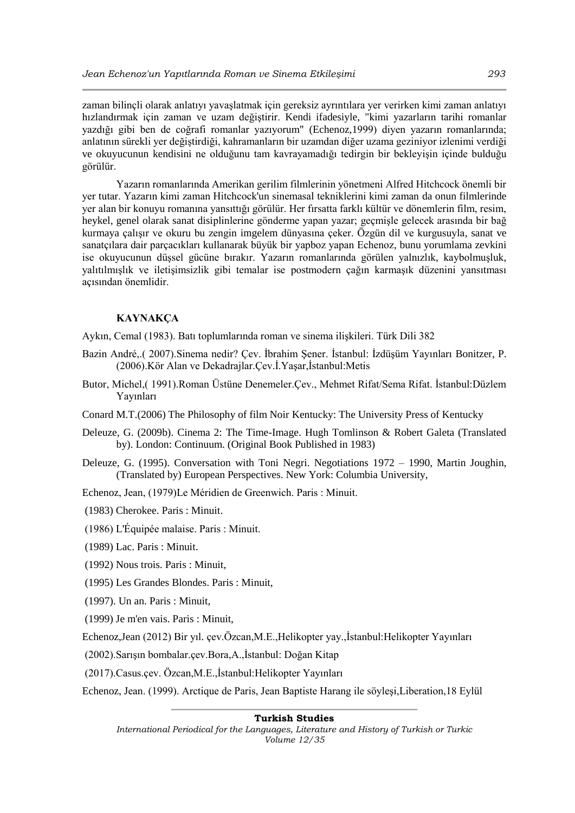zaman bilinçli olarak anlatıyı yavaşlatmak için gereksiz ayrıntılara yer verirken kimi zaman anlatıyı hızlandırmak için zaman ve uzam değiştirir. Kendi ifadesiyle, "kimi yazarların tarihi romanlar yazdığı gibi ben de coğrafi romanlar yazıyorum" (Echenoz,1999) diyen yazarın romanlarında; anlatının sürekli yer değiştirdiği, kahramanların bir uzamdan diğer uzama geziniyor izlenimi verdiği ve okuyucunun kendisini ne olduğunu tam kavrayamadığı tedirgin bir bekleyişin içinde bulduğu görülür.

Yazarın romanlarında Amerikan gerilim filmlerinin yönetmeni Alfred Hitchcock önemli bir yer tutar. Yazarın kimi zaman Hitchcock'un sinemasal tekniklerini kimi zaman da onun filmlerinde yer alan bir konuyu romanına yansıttığı görülür. Her fırsatta farklı kültür ve dönemlerin film, resim, heykel, genel olarak sanat disiplinlerine gönderme yapan yazar; geçmişle gelecek arasında bir bağ kurmaya çalışır ve okuru bu zengin imgelem dünyasına çeker. Özgün dil ve kurgusuyla, sanat ve sanatçılara dair parçacıkları kullanarak büyük bir yapboz yapan Echenoz, bunu yorumlama zevkini ise okuyucunun düşsel gücüne bırakır. Yazarın romanlarında görülen yalnızlık, kaybolmuşluk, yalıtılmışlık ve iletişimsizlik gibi temalar ise postmodern çağın karmaşık düzenini yansıtması açısından önemlidir.

### **KAYNAKÇA**

Aykın, Cemal (1983). Batı toplumlarında roman ve sinema ilişkileri. Türk Dili 382

- Bazin André,.( 2007).Sinema nedir? Çev. İbrahim Şener. İstanbul: İzdüşüm Yayınları Bonitzer, P. (2006).Kör Alan ve Dekadrajlar.Çev.İ.Yaşar,İstanbul:Metis
- Butor, Michel,( 1991).Roman Üstüne Denemeler.Çev., Mehmet Rifat/Sema Rifat. İstanbul:Düzlem Yayınları
- Conard M.T.(2006) The Philosophy of film Noir Kentucky: The University Press of Kentucky
- Deleuze, G. (2009b). Cinema 2: The Time-Image. Hugh Tomlinson & Robert Galeta (Translated by). London: Continuum. (Original Book Published in 1983)
- Deleuze, G. (1995). Conversation with Toni Negri. Negotiations 1972 1990, Martin Joughin, (Translated by) European Perspectives. New York: Columbia University,

Echenoz, Jean, (1979)Le Méridien de Greenwich. Paris : Minuit.

- (1983) Cherokee. Paris : Minuit.
- (1986) L'Équipée malaise. Paris : Minuit.
- (1989) Lac. Paris : Minuit.

(1992) Nous trois. Paris : Minuit,

- (1995) Les Grandes Blondes. Paris : Minuit,
- (1997). Un an. Paris : Minuit,
- (1999) Je m'en vais. Paris : Minuit,

Echenoz,Jean (2012) Bir yıl. çev.Özcan,M.E.,Helikopter yay.,İstanbul:Helikopter Yayınları

(2002).Sarışın bombalar.çev.Bora,A.,İstanbul: Doğan Kitap

(2017).Casus.çev. Özcan,M.E.,İstanbul:Helikopter Yayınları

Echenoz, Jean. (1999). Arctique de Paris, Jean Baptiste Harang ile söyleşi,Liberation,18 Eylül

#### **Turkish Studies**

*International Periodical for the Languages, Literature and History of Turkish or Turkic Volume 12/35*